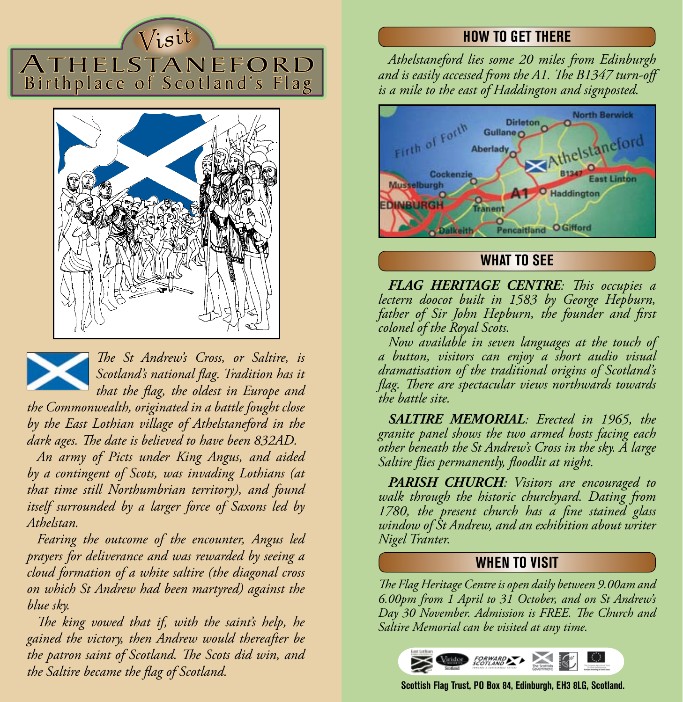# $V_{i}$ sit ATHELSTANEFORD Birthplace of Scotland's Flag





*The St Andrew's Cross, or Saltire, is Scotland's national flag. Tradition has it that the flag, the oldest in Europe and* 

*the Commonwealth, originated in a battle fought close by the East Lothian village of Athelstaneford in the dark ages. The date is believed to have been 832AD.*

*An army of Picts under King Angus, and aided by a contingent of Scots, was invading Lothians (at that time still Northumbrian territory), and found itself surrounded by a larger force of Saxons led by Athelstan.*

*Fearing the outcome of the encounter, Angus led prayers for deliverance and was rewarded by seeing a cloud formation of a white saltire (the diagonal cross on which St Andrew had been martyred) against the blue sky.*

*The king vowed that if, with the saint's help, he gained the victory, then Andrew would thereafter be the patron saint of Scotland. The Scots did win, and the Saltire became the flag of Scotland.*

# **HOW TO GET THERE**

*Athelstaneford lies some 20 miles from Edinburgh and is easily accessed from the A1. The B1347 turn-off is a mile to the east of Haddington and signposted.*



## **WHAT TO SEE**

*FLAG HERITAGE CENTRE: This occupies a lectern doocot built in 1583 by George Hepburn, father of Sir John Hepburn, the founder and first colonel of the Royal Scots.*

*Now available in seven languages at the touch of a button, visitors can enjoy a short audio visual dramatisation of the traditional origins of Scotland's flag. There are spectacular views northwards towards the battle site.*

*SALTIRE MEMORIAL: Erected in 1965, the granite panel shows the two armed hosts facing each other beneath the St Andrew's Cross in the sky. A large Saltire flies permanently, floodlit at night.*

*PARISH CHURCH: Visitors are encouraged to walk through the historic churchyard. Dating from 1780, the present church has a fine stained glass window of St Andrew, and an exhibition about writer Nigel Tranter.* 

#### **WHEN TO VISIT**

*The Flag Heritage Centre is open daily between 9.00am and 6.00pm from 1 April to 31 October, and on St Andrew's Day 30 November. Admission is FREE. The Church and Saltire Memorial can be visited at any time.* 



**Scottish Flag Trust, PO Box 84, Edinburgh, EH3 8LG, Scotland.**